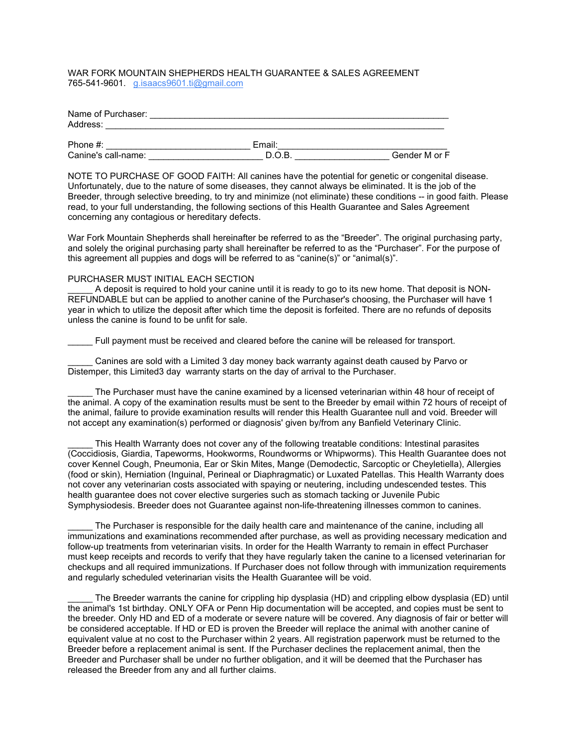## WAR FORK MOUNTAIN SHEPHERDS HEALTH GUARANTEE & SALES AGREEMENT 765-541-9601. [g.isaacs9601.ti@gmail.com](mailto:g.isaacs9601.ti@gmail.com)

| Name of Purchaser:  |        |               |
|---------------------|--------|---------------|
| Address:            |        |               |
| Phone $#$ :         | Email: |               |
| Canine's call-name: | D.O.B. | Gender M or F |

NOTE TO PURCHASE OF GOOD FAITH: All canines have the potential for genetic or congenital disease. Unfortunately, due to the nature of some diseases, they cannot always be eliminated. It is the job of the Breeder, through selective breeding, to try and minimize (not eliminate) these conditions -- in good faith. Please read, to your full understanding, the following sections of this Health Guarantee and Sales Agreement concerning any contagious or hereditary defects.

War Fork Mountain Shepherds shall hereinafter be referred to as the "Breeder". The original purchasing party, and solely the original purchasing party shall hereinafter be referred to as the "Purchaser". For the purpose of this agreement all puppies and dogs will be referred to as "canine(s)" or "animal(s)".

## PURCHASER MUST INITIAL EACH SECTION

A deposit is required to hold your canine until it is ready to go to its new home. That deposit is NON-REFUNDABLE but can be applied to another canine of the Purchaser's choosing, the Purchaser will have 1 year in which to utilize the deposit after which time the deposit is forfeited. There are no refunds of deposits unless the canine is found to be unfit for sale.

Full payment must be received and cleared before the canine will be released for transport.

Canines are sold with a Limited 3 day money back warranty against death caused by Parvo or Distemper, this Limited3 day warranty starts on the day of arrival to the Purchaser.

The Purchaser must have the canine examined by a licensed veterinarian within 48 hour of receipt of the animal. A copy of the examination results must be sent to the Breeder by email within 72 hours of receipt of the animal, failure to provide examination results will render this Health Guarantee null and void. Breeder will not accept any examination(s) performed or diagnosis' given by/from any Banfield Veterinary Clinic.

This Health Warranty does not cover any of the following treatable conditions: Intestinal parasites (Coccidiosis, Giardia, Tapeworms, Hookworms, Roundworms or Whipworms). This Health Guarantee does not cover Kennel Cough, Pneumonia, Ear or Skin Mites, Mange (Demodectic, Sarcoptic or Cheyletiella), Allergies (food or skin), Herniation (Inguinal, Perineal or Diaphragmatic) or Luxated Patellas. This Health Warranty does not cover any veterinarian costs associated with spaying or neutering, including undescended testes. This health guarantee does not cover elective surgeries such as stomach tacking or Juvenile Pubic Symphysiodesis. Breeder does not Guarantee against non-life-threatening illnesses common to canines.

The Purchaser is responsible for the daily health care and maintenance of the canine, including all immunizations and examinations recommended after purchase, as well as providing necessary medication and follow-up treatments from veterinarian visits. In order for the Health Warranty to remain in effect Purchaser must keep receipts and records to verify that they have regularly taken the canine to a licensed veterinarian for checkups and all required immunizations. If Purchaser does not follow through with immunization requirements and regularly scheduled veterinarian visits the Health Guarantee will be void.

The Breeder warrants the canine for crippling hip dysplasia (HD) and crippling elbow dysplasia (ED) until the animal's 1st birthday. ONLY OFA or Penn Hip documentation will be accepted, and copies must be sent to the breeder. Only HD and ED of a moderate or severe nature will be covered. Any diagnosis of fair or better will be considered acceptable. If HD or ED is proven the Breeder will replace the animal with another canine of equivalent value at no cost to the Purchaser within 2 years. All registration paperwork must be returned to the Breeder before a replacement animal is sent. If the Purchaser declines the replacement animal, then the Breeder and Purchaser shall be under no further obligation, and it will be deemed that the Purchaser has released the Breeder from any and all further claims.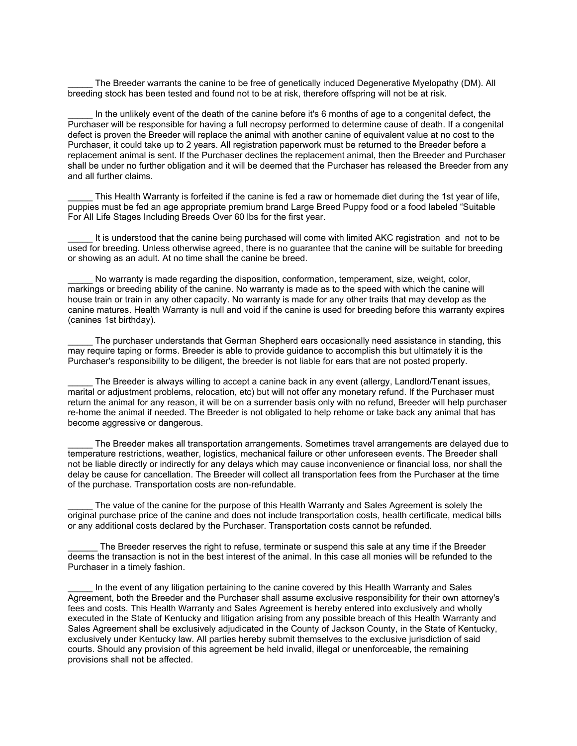The Breeder warrants the canine to be free of genetically induced Degenerative Myelopathy (DM). All breeding stock has been tested and found not to be at risk, therefore offspring will not be at risk.

In the unlikely event of the death of the canine before it's 6 months of age to a congenital defect, the Purchaser will be responsible for having a full necropsy performed to determine cause of death. If a congenital defect is proven the Breeder will replace the animal with another canine of equivalent value at no cost to the Purchaser, it could take up to 2 years. All registration paperwork must be returned to the Breeder before a replacement animal is sent. If the Purchaser declines the replacement animal, then the Breeder and Purchaser shall be under no further obligation and it will be deemed that the Purchaser has released the Breeder from any and all further claims.

This Health Warranty is forfeited if the canine is fed a raw or homemade diet during the 1st year of life, puppies must be fed an age appropriate premium brand Large Breed Puppy food or a food labeled "Suitable For All Life Stages Including Breeds Over 60 lbs for the first year.

It is understood that the canine being purchased will come with limited AKC registration and not to be used for breeding. Unless otherwise agreed, there is no guarantee that the canine will be suitable for breeding or showing as an adult. At no time shall the canine be breed.

No warranty is made regarding the disposition, conformation, temperament, size, weight, color, markings or breeding ability of the canine. No warranty is made as to the speed with which the canine will house train or train in any other capacity. No warranty is made for any other traits that may develop as the canine matures. Health Warranty is null and void if the canine is used for breeding before this warranty expires (canines 1st birthday).

The purchaser understands that German Shepherd ears occasionally need assistance in standing, this may require taping or forms. Breeder is able to provide guidance to accomplish this but ultimately it is the Purchaser's responsibility to be diligent, the breeder is not liable for ears that are not posted properly.

The Breeder is always willing to accept a canine back in any event (allergy, Landlord/Tenant issues, marital or adjustment problems, relocation, etc) but will not offer any monetary refund. If the Purchaser must return the animal for any reason, it will be on a surrender basis only with no refund, Breeder will help purchaser re-home the animal if needed. The Breeder is not obligated to help rehome or take back any animal that has become aggressive or dangerous.

The Breeder makes all transportation arrangements. Sometimes travel arrangements are delayed due to temperature restrictions, weather, logistics, mechanical failure or other unforeseen events. The Breeder shall not be liable directly or indirectly for any delays which may cause inconvenience or financial loss, nor shall the delay be cause for cancellation. The Breeder will collect all transportation fees from the Purchaser at the time of the purchase. Transportation costs are non-refundable.

The value of the canine for the purpose of this Health Warranty and Sales Agreement is solely the original purchase price of the canine and does not include transportation costs, health certificate, medical bills or any additional costs declared by the Purchaser. Transportation costs cannot be refunded.

The Breeder reserves the right to refuse, terminate or suspend this sale at any time if the Breeder deems the transaction is not in the best interest of the animal. In this case all monies will be refunded to the Purchaser in a timely fashion.

In the event of any litigation pertaining to the canine covered by this Health Warranty and Sales Agreement, both the Breeder and the Purchaser shall assume exclusive responsibility for their own attorney's fees and costs. This Health Warranty and Sales Agreement is hereby entered into exclusively and wholly executed in the State of Kentucky and litigation arising from any possible breach of this Health Warranty and Sales Agreement shall be exclusively adjudicated in the County of Jackson County, in the State of Kentucky, exclusively under Kentucky law. All parties hereby submit themselves to the exclusive jurisdiction of said courts. Should any provision of this agreement be held invalid, illegal or unenforceable, the remaining provisions shall not be affected.